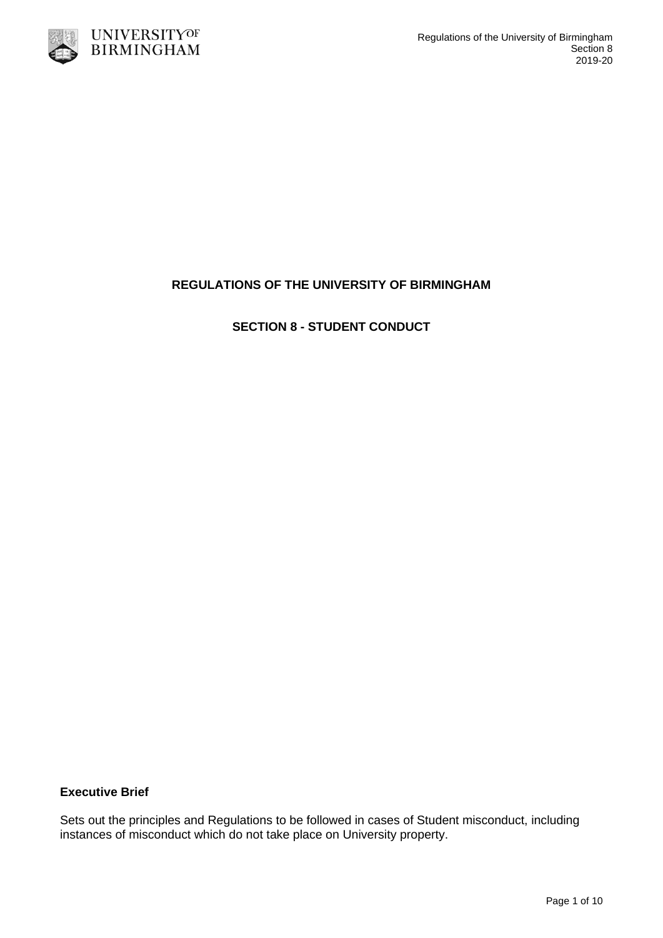

# **REGULATIONS OF THE UNIVERSITY OF BIRMINGHAM**

**SECTION 8 - STUDENT CONDUCT**

### **Executive Brief**

Sets out the principles and Regulations to be followed in cases of Student misconduct, including instances of misconduct which do not take place on University property.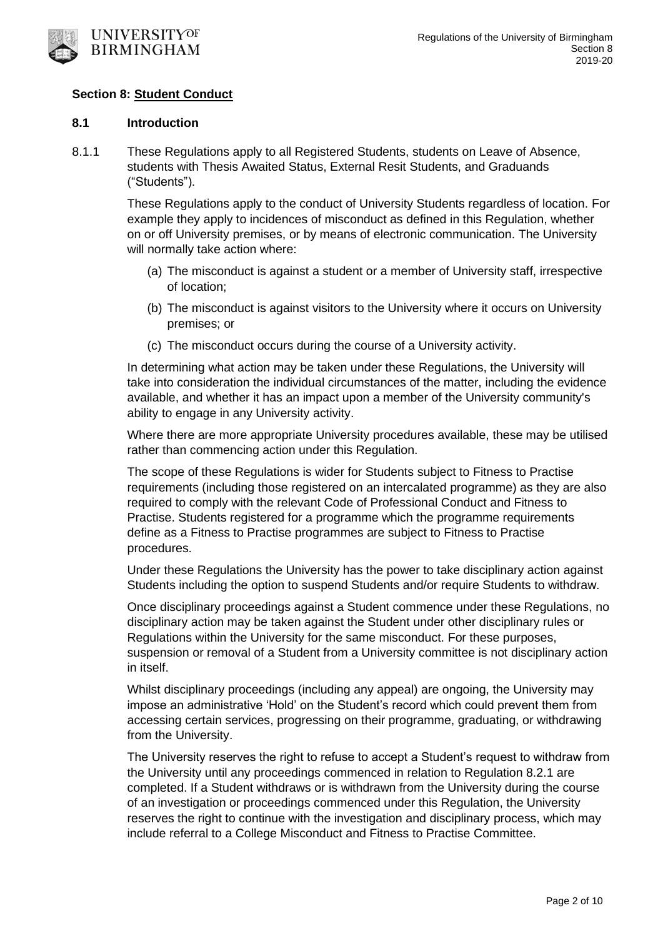

### **Section 8: Student Conduct**

#### **8.1 Introduction**

8.1.1 These Regulations apply to all Registered Students, students on Leave of Absence, students with Thesis Awaited Status, External Resit Students, and Graduands ("Students").

> These Regulations apply to the conduct of University Students regardless of location. For example they apply to incidences of misconduct as defined in this Regulation, whether on or off University premises, or by means of electronic communication. The University will normally take action where:

- (a) The misconduct is against a student or a member of University staff, irrespective of location;
- (b) The misconduct is against visitors to the University where it occurs on University premises; or
- (c) The misconduct occurs during the course of a University activity.

In determining what action may be taken under these Regulations, the University will take into consideration the individual circumstances of the matter, including the evidence available, and whether it has an impact upon a member of the University community's ability to engage in any University activity.

Where there are more appropriate University procedures available, these may be utilised rather than commencing action under this Regulation.

The scope of these Regulations is wider for Students subject to Fitness to Practise requirements (including those registered on an intercalated programme) as they are also required to comply with the relevant Code of Professional Conduct and Fitness to Practise. Students registered for a programme which the programme requirements define as a Fitness to Practise programmes are subject to Fitness to Practise procedures.

Under these Regulations the University has the power to take disciplinary action against Students including the option to suspend Students and/or require Students to withdraw.

Once disciplinary proceedings against a Student commence under these Regulations, no disciplinary action may be taken against the Student under other disciplinary rules or Regulations within the University for the same misconduct. For these purposes, suspension or removal of a Student from a University committee is not disciplinary action in itself.

Whilst disciplinary proceedings (including any appeal) are ongoing, the University may impose an administrative 'Hold' on the Student's record which could prevent them from accessing certain services, progressing on their programme, graduating, or withdrawing from the University.

The University reserves the right to refuse to accept a Student's request to withdraw from the University until any proceedings commenced in relation to Regulation 8.2.1 are completed. If a Student withdraws or is withdrawn from the University during the course of an investigation or proceedings commenced under this Regulation, the University reserves the right to continue with the investigation and disciplinary process, which may include referral to a College Misconduct and Fitness to Practise Committee.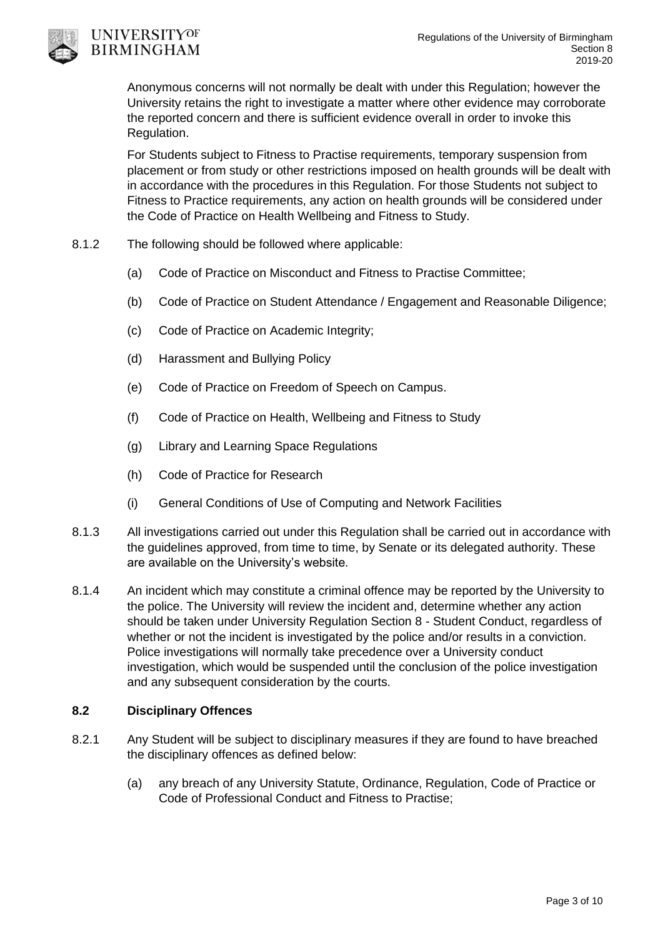

# UNIVERSITYOF **BIRMINGHAM**

Anonymous concerns will not normally be dealt with under this Regulation; however the University retains the right to investigate a matter where other evidence may corroborate the reported concern and there is sufficient evidence overall in order to invoke this Regulation.

For Students subject to Fitness to Practise requirements, temporary suspension from placement or from study or other restrictions imposed on health grounds will be dealt with in accordance with the procedures in this Regulation. For those Students not subject to Fitness to Practice requirements, any action on health grounds will be considered under the Code of Practice on Health Wellbeing and Fitness to Study.

- 8.1.2 The following should be followed where applicable:
	- (a) Code of Practice on Misconduct and Fitness to Practise Committee;
	- (b) Code of Practice on Student Attendance / Engagement and Reasonable Diligence;
	- (c) Code of Practice on Academic Integrity;
	- (d) Harassment and Bullying Policy
	- (e) Code of Practice on Freedom of Speech on Campus.
	- (f) Code of Practice on Health, Wellbeing and Fitness to Study
	- (g) Library and Learning Space Regulations
	- (h) Code of Practice for Research
	- (i) General Conditions of Use of Computing and Network Facilities
- 8.1.3 All investigations carried out under this Regulation shall be carried out in accordance with the guidelines approved, from time to time, by Senate or its delegated authority. These are available on the University's website.
- 8.1.4 An incident which may constitute a criminal offence may be reported by the University to the police. The University will review the incident and, determine whether any action should be taken under University Regulation Section 8 - Student Conduct, regardless of whether or not the incident is investigated by the police and/or results in a conviction. Police investigations will normally take precedence over a University conduct investigation, which would be suspended until the conclusion of the police investigation and any subsequent consideration by the courts.

# **8.2 Disciplinary Offences**

- 8.2.1 Any Student will be subject to disciplinary measures if they are found to have breached the disciplinary offences as defined below:
	- (a) any breach of any University Statute, Ordinance, Regulation, Code of Practice or Code of Professional Conduct and Fitness to Practise;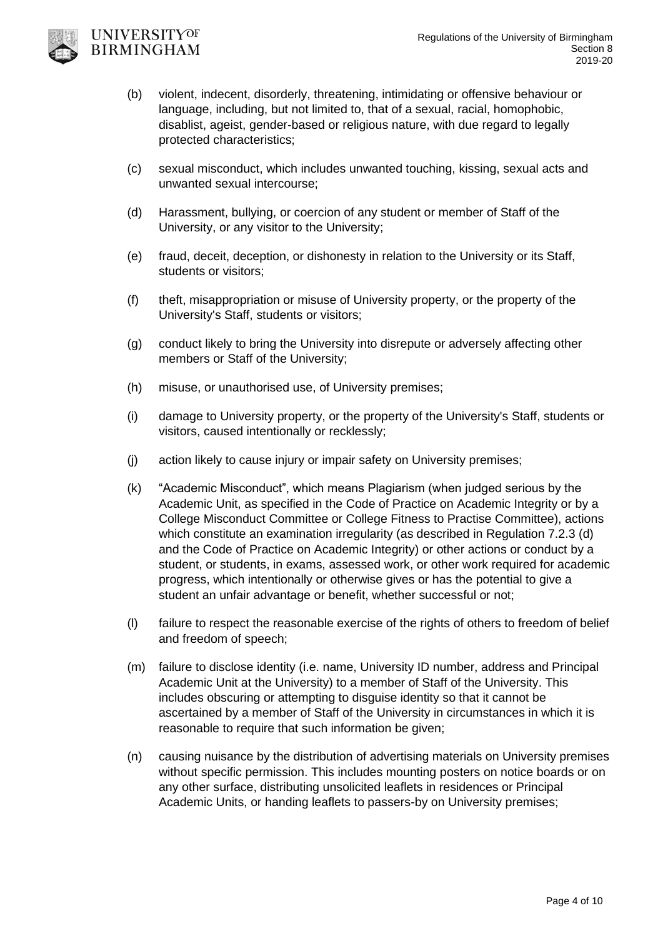

- (b) violent, indecent, disorderly, threatening, intimidating or offensive behaviour or language, including, but not limited to, that of a sexual, racial, homophobic, disablist, ageist, gender-based or religious nature, with due regard to legally protected characteristics;
- (c) sexual misconduct, which includes unwanted touching, kissing, sexual acts and unwanted sexual intercourse;
- (d) Harassment, bullying, or coercion of any student or member of Staff of the University, or any visitor to the University;
- (e) fraud, deceit, deception, or dishonesty in relation to the University or its Staff, students or visitors;
- (f) theft, misappropriation or misuse of University property, or the property of the University's Staff, students or visitors;
- (g) conduct likely to bring the University into disrepute or adversely affecting other members or Staff of the University;
- (h) misuse, or unauthorised use, of University premises;
- (i) damage to University property, or the property of the University's Staff, students or visitors, caused intentionally or recklessly;
- (j) action likely to cause injury or impair safety on University premises;
- (k) "Academic Misconduct", which means Plagiarism (when judged serious by the Academic Unit, as specified in the Code of Practice on Academic Integrity or by a College Misconduct Committee or College Fitness to Practise Committee), actions which constitute an examination irregularity (as described in Regulation 7.2.3 (d) and the Code of Practice on Academic Integrity) or other actions or conduct by a student, or students, in exams, assessed work, or other work required for academic progress, which intentionally or otherwise gives or has the potential to give a student an unfair advantage or benefit, whether successful or not;
- (l) failure to respect the reasonable exercise of the rights of others to freedom of belief and freedom of speech;
- (m) failure to disclose identity (i.e. name, University ID number, address and Principal Academic Unit at the University) to a member of Staff of the University. This includes obscuring or attempting to disguise identity so that it cannot be ascertained by a member of Staff of the University in circumstances in which it is reasonable to require that such information be given;
- (n) causing nuisance by the distribution of advertising materials on University premises without specific permission. This includes mounting posters on notice boards or on any other surface, distributing unsolicited leaflets in residences or Principal Academic Units, or handing leaflets to passers-by on University premises;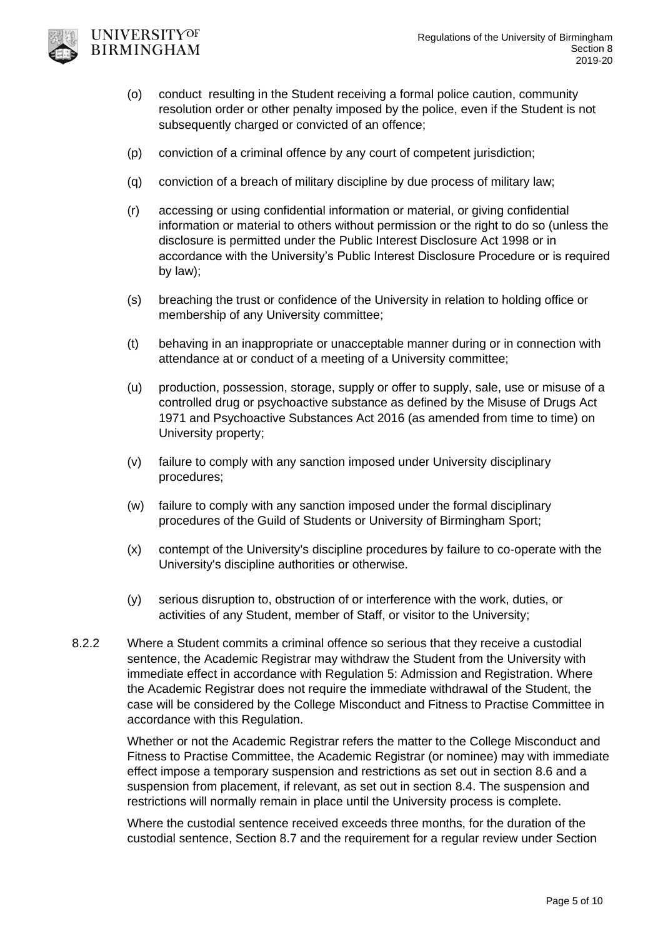

UNIVERSITYOF **BIRMINGHAM** 

- (o) conduct resulting in the Student receiving a formal police caution, community resolution order or other penalty imposed by the police, even if the Student is not subsequently charged or convicted of an offence;
- (p) conviction of a criminal offence by any court of competent jurisdiction;
- (q) conviction of a breach of military discipline by due process of military law;
- (r) accessing or using confidential information or material, or giving confidential information or material to others without permission or the right to do so (unless the disclosure is permitted under the Public Interest Disclosure Act 1998 or in accordance with the University's Public Interest Disclosure Procedure or is required by law);
- (s) breaching the trust or confidence of the University in relation to holding office or membership of any University committee;
- (t) behaving in an inappropriate or unacceptable manner during or in connection with attendance at or conduct of a meeting of a University committee;
- (u) production, possession, storage, supply or offer to supply, sale, use or misuse of a controlled drug or psychoactive substance as defined by the Misuse of Drugs Act 1971 and Psychoactive Substances Act 2016 (as amended from time to time) on University property;
- (v) failure to comply with any sanction imposed under University disciplinary procedures;
- (w) failure to comply with any sanction imposed under the formal disciplinary procedures of the Guild of Students or University of Birmingham Sport;
- (x) contempt of the University's discipline procedures by failure to co-operate with the University's discipline authorities or otherwise.
- (y) serious disruption to, obstruction of or interference with the work, duties, or activities of any Student, member of Staff, or visitor to the University;
- 8.2.2 Where a Student commits a criminal offence so serious that they receive a custodial sentence, the Academic Registrar may withdraw the Student from the University with immediate effect in accordance with Regulation 5: Admission and Registration. Where the Academic Registrar does not require the immediate withdrawal of the Student, the case will be considered by the College Misconduct and Fitness to Practise Committee in accordance with this Regulation.

Whether or not the Academic Registrar refers the matter to the College Misconduct and Fitness to Practise Committee, the Academic Registrar (or nominee) may with immediate effect impose a temporary suspension and restrictions as set out in section 8.6 and a suspension from placement, if relevant, as set out in section 8.4. The suspension and restrictions will normally remain in place until the University process is complete.

Where the custodial sentence received exceeds three months, for the duration of the custodial sentence, Section 8.7 and the requirement for a regular review under Section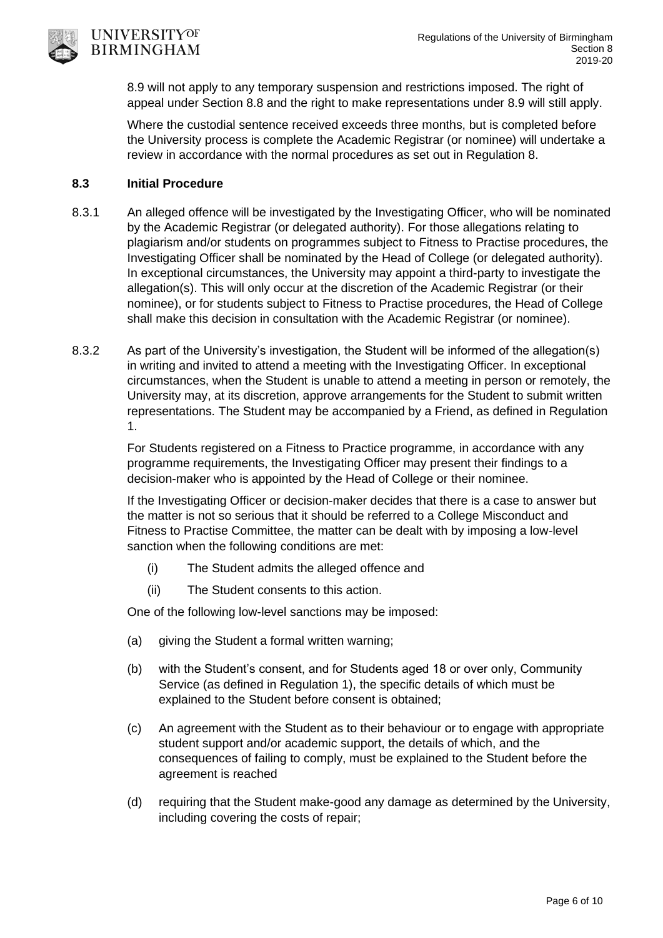8.9 will not apply to any temporary suspension and restrictions imposed. The right of appeal under Section 8.8 and the right to make representations under 8.9 will still apply.

Where the custodial sentence received exceeds three months, but is completed before the University process is complete the Academic Registrar (or nominee) will undertake a review in accordance with the normal procedures as set out in Regulation 8.

## **8.3 Initial Procedure**

- 8.3.1 An alleged offence will be investigated by the Investigating Officer, who will be nominated by the Academic Registrar (or delegated authority). For those allegations relating to plagiarism and/or students on programmes subject to Fitness to Practise procedures, the Investigating Officer shall be nominated by the Head of College (or delegated authority). In exceptional circumstances, the University may appoint a third-party to investigate the allegation(s). This will only occur at the discretion of the Academic Registrar (or their nominee), or for students subject to Fitness to Practise procedures, the Head of College shall make this decision in consultation with the Academic Registrar (or nominee).
- 8.3.2 As part of the University's investigation, the Student will be informed of the allegation(s) in writing and invited to attend a meeting with the Investigating Officer. In exceptional circumstances, when the Student is unable to attend a meeting in person or remotely, the University may, at its discretion, approve arrangements for the Student to submit written representations. The Student may be accompanied by a Friend, as defined in Regulation 1.

For Students registered on a Fitness to Practice programme, in accordance with any programme requirements, the Investigating Officer may present their findings to a decision-maker who is appointed by the Head of College or their nominee.

If the Investigating Officer or decision-maker decides that there is a case to answer but the matter is not so serious that it should be referred to a College Misconduct and Fitness to Practise Committee, the matter can be dealt with by imposing a low-level sanction when the following conditions are met:

- (i) The Student admits the alleged offence and
- (ii) The Student consents to this action.

One of the following low-level sanctions may be imposed:

- (a) giving the Student a formal written warning;
- (b) with the Student's consent, and for Students aged 18 or over only, Community Service (as defined in Regulation 1), the specific details of which must be explained to the Student before consent is obtained;
- (c) An agreement with the Student as to their behaviour or to engage with appropriate student support and/or academic support, the details of which, and the consequences of failing to comply, must be explained to the Student before the agreement is reached
- (d) requiring that the Student make-good any damage as determined by the University, including covering the costs of repair;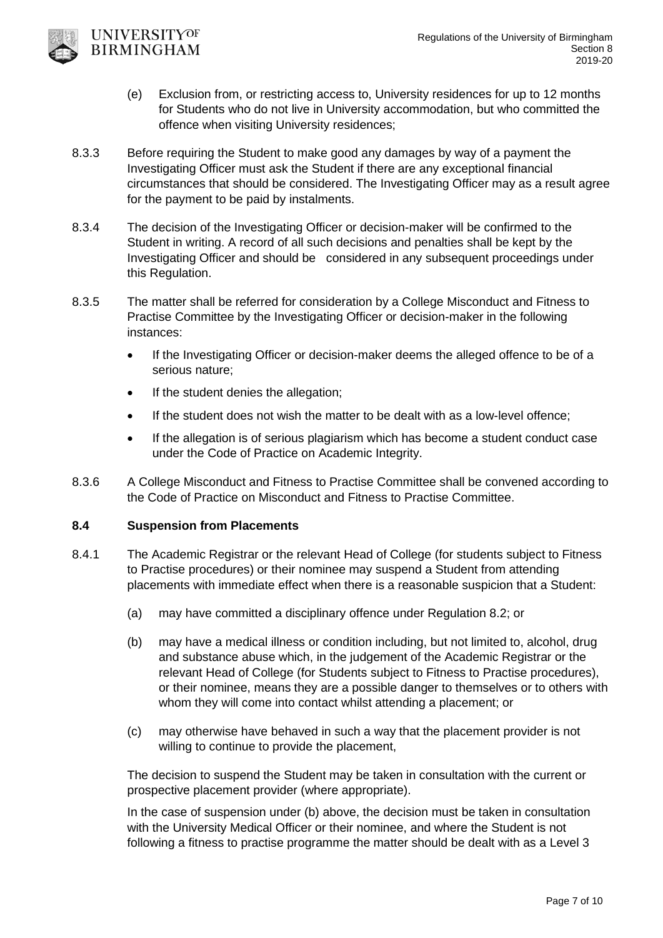- (e) Exclusion from, or restricting access to, University residences for up to 12 months for Students who do not live in University accommodation, but who committed the offence when visiting University residences;
- 8.3.3 Before requiring the Student to make good any damages by way of a payment the Investigating Officer must ask the Student if there are any exceptional financial circumstances that should be considered. The Investigating Officer may as a result agree for the payment to be paid by instalments.
- 8.3.4 The decision of the Investigating Officer or decision-maker will be confirmed to the Student in writing. A record of all such decisions and penalties shall be kept by the Investigating Officer and should be considered in any subsequent proceedings under this Regulation.
- 8.3.5 The matter shall be referred for consideration by a College Misconduct and Fitness to Practise Committee by the Investigating Officer or decision-maker in the following instances:
	- If the Investigating Officer or decision-maker deems the alleged offence to be of a serious nature;
	- If the student denies the allegation;
	- If the student does not wish the matter to be dealt with as a low-level offence;
	- If the allegation is of serious plagiarism which has become a student conduct case under the Code of Practice on Academic Integrity.
- 8.3.6 A College Misconduct and Fitness to Practise Committee shall be convened according to the Code of Practice on Misconduct and Fitness to Practise Committee.

# **8.4 Suspension from Placements**

UNIVERSITYOF **BIRMINGHAM** 

- 8.4.1 The Academic Registrar or the relevant Head of College (for students subject to Fitness to Practise procedures) or their nominee may suspend a Student from attending placements with immediate effect when there is a reasonable suspicion that a Student:
	- (a) may have committed a disciplinary offence under Regulation 8.2; or
	- (b) may have a medical illness or condition including, but not limited to, alcohol, drug and substance abuse which, in the judgement of the Academic Registrar or the relevant Head of College (for Students subject to Fitness to Practise procedures), or their nominee, means they are a possible danger to themselves or to others with whom they will come into contact whilst attending a placement; or
	- (c) may otherwise have behaved in such a way that the placement provider is not willing to continue to provide the placement,

The decision to suspend the Student may be taken in consultation with the current or prospective placement provider (where appropriate).

In the case of suspension under (b) above, the decision must be taken in consultation with the University Medical Officer or their nominee, and where the Student is not following a fitness to practise programme the matter should be dealt with as a Level 3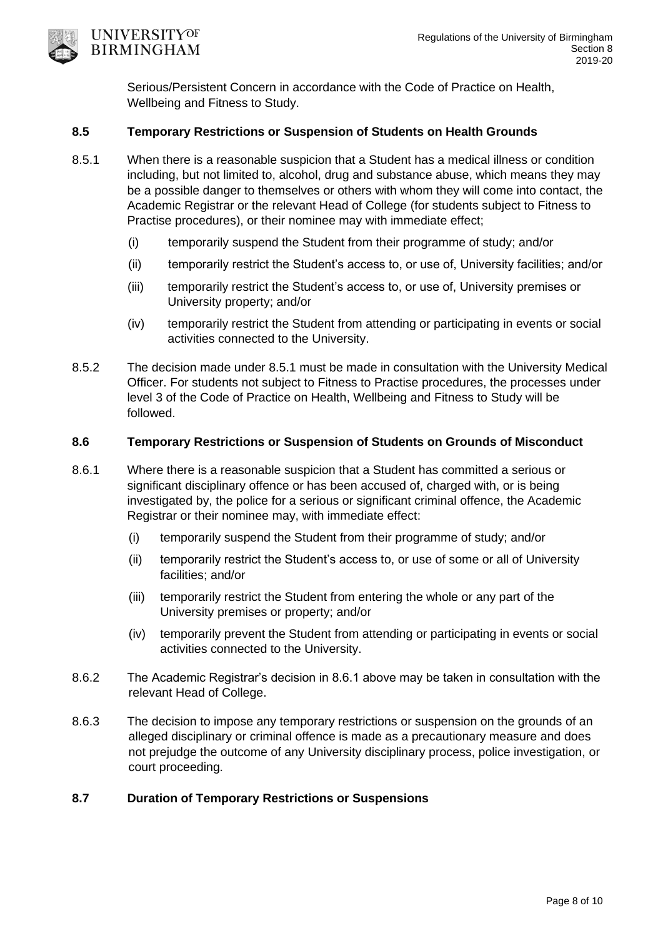

Serious/Persistent Concern in accordance with the Code of Practice on Health, Wellbeing and Fitness to Study.

### **8.5 Temporary Restrictions or Suspension of Students on Health Grounds**

- 8.5.1 When there is a reasonable suspicion that a Student has a medical illness or condition including, but not limited to, alcohol, drug and substance abuse, which means they may be a possible danger to themselves or others with whom they will come into contact, the Academic Registrar or the relevant Head of College (for students subject to Fitness to Practise procedures), or their nominee may with immediate effect;
	- (i) temporarily suspend the Student from their programme of study; and/or
	- (ii) temporarily restrict the Student's access to, or use of, University facilities; and/or
	- (iii) temporarily restrict the Student's access to, or use of, University premises or University property; and/or
	- (iv) temporarily restrict the Student from attending or participating in events or social activities connected to the University.
- 8.5.2 The decision made under 8.5.1 must be made in consultation with the University Medical Officer. For students not subject to Fitness to Practise procedures, the processes under level 3 of the Code of Practice on Health, Wellbeing and Fitness to Study will be followed.

#### **8.6 Temporary Restrictions or Suspension of Students on Grounds of Misconduct**

- 8.6.1 Where there is a reasonable suspicion that a Student has committed a serious or significant disciplinary offence or has been accused of, charged with, or is being investigated by, the police for a serious or significant criminal offence, the Academic Registrar or their nominee may, with immediate effect:
	- (i) temporarily suspend the Student from their programme of study; and/or
	- (ii) temporarily restrict the Student's access to, or use of some or all of University facilities; and/or
	- (iii) temporarily restrict the Student from entering the whole or any part of the University premises or property; and/or
	- (iv) temporarily prevent the Student from attending or participating in events or social activities connected to the University.
- 8.6.2 The Academic Registrar's decision in 8.6.1 above may be taken in consultation with the relevant Head of College.
- 8.6.3 The decision to impose any temporary restrictions or suspension on the grounds of an alleged disciplinary or criminal offence is made as a precautionary measure and does not prejudge the outcome of any University disciplinary process, police investigation, or court proceeding.

## **8.7 Duration of Temporary Restrictions or Suspensions**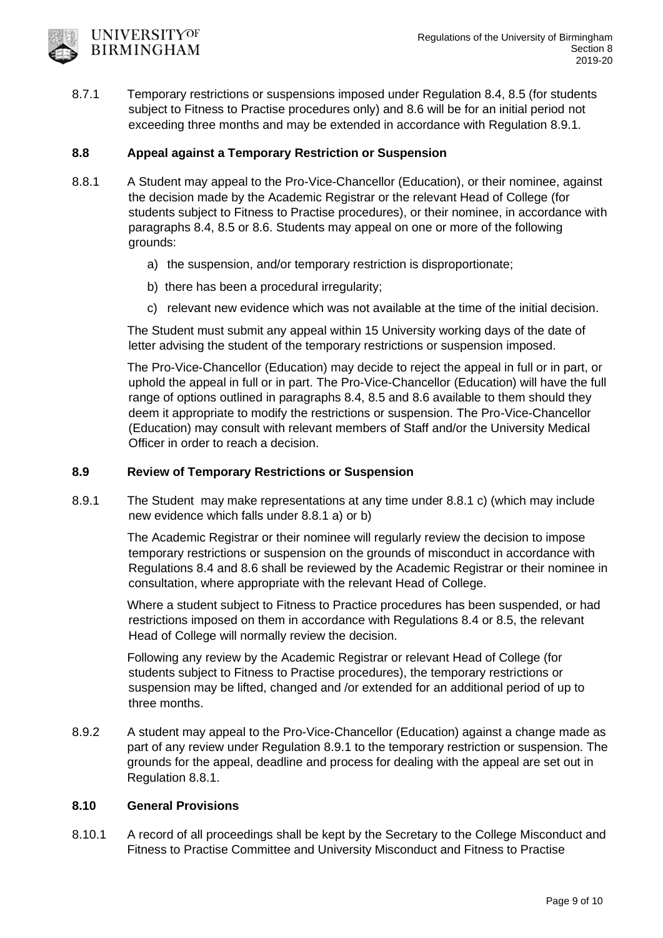8.7.1 Temporary restrictions or suspensions imposed under Regulation 8.4, 8.5 (for students subject to Fitness to Practise procedures only) and 8.6 will be for an initial period not exceeding three months and may be extended in accordance with Regulation 8.9.1.

## **8.8 Appeal against a Temporary Restriction or Suspension**

**UNIVERSITYOF BIRMINGHAM** 

- 8.8.1 A Student may appeal to the Pro-Vice-Chancellor (Education), or their nominee, against the decision made by the Academic Registrar or the relevant Head of College (for students subject to Fitness to Practise procedures), or their nominee, in accordance with paragraphs 8.4, 8.5 or 8.6. Students may appeal on one or more of the following grounds:
	- a) the suspension, and/or temporary restriction is disproportionate;
	- b) there has been a procedural irregularity;
	- c) relevant new evidence which was not available at the time of the initial decision.

The Student must submit any appeal within 15 University working days of the date of letter advising the student of the temporary restrictions or suspension imposed.

The Pro-Vice-Chancellor (Education) may decide to reject the appeal in full or in part, or uphold the appeal in full or in part. The Pro-Vice-Chancellor (Education) will have the full range of options outlined in paragraphs 8.4, 8.5 and 8.6 available to them should they deem it appropriate to modify the restrictions or suspension. The Pro-Vice-Chancellor (Education) may consult with relevant members of Staff and/or the University Medical Officer in order to reach a decision.

### **8.9 Review of Temporary Restrictions or Suspension**

8.9.1 The Student may make representations at any time under 8.8.1 c) (which may include new evidence which falls under 8.8.1 a) or b)

> The Academic Registrar or their nominee will regularly review the decision to impose temporary restrictions or suspension on the grounds of misconduct in accordance with Regulations 8.4 and 8.6 shall be reviewed by the Academic Registrar or their nominee in consultation, where appropriate with the relevant Head of College.

Where a student subject to Fitness to Practice procedures has been suspended, or had restrictions imposed on them in accordance with Regulations 8.4 or 8.5, the relevant Head of College will normally review the decision.

Following any review by the Academic Registrar or relevant Head of College (for students subject to Fitness to Practise procedures), the temporary restrictions or suspension may be lifted, changed and /or extended for an additional period of up to three months.

8.9.2 A student may appeal to the Pro-Vice-Chancellor (Education) against a change made as part of any review under Regulation 8.9.1 to the temporary restriction or suspension. The grounds for the appeal, deadline and process for dealing with the appeal are set out in Regulation 8.8.1.

### **8.10 General Provisions**

8.10.1 A record of all proceedings shall be kept by the Secretary to the College Misconduct and Fitness to Practise Committee and University Misconduct and Fitness to Practise